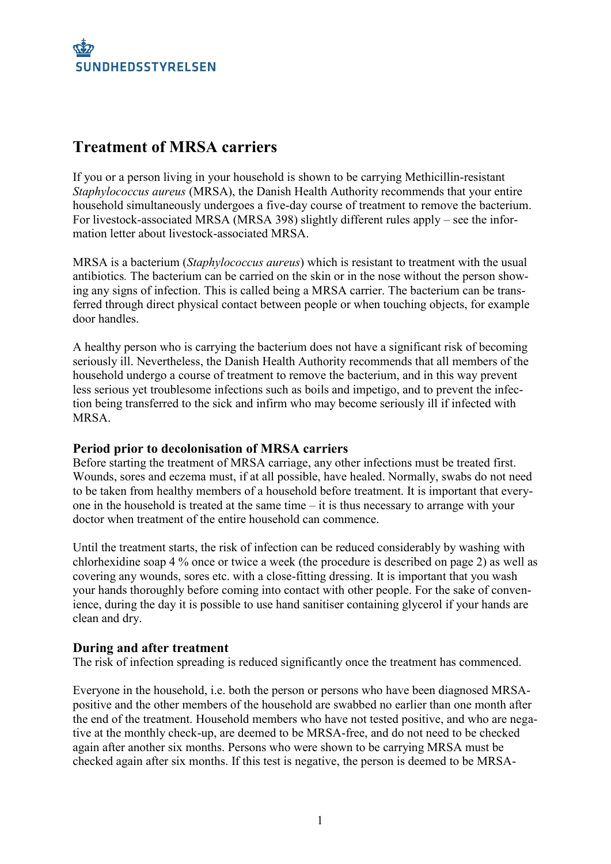

## **Treatment of MRSA carriers**

If you or a person living in your household is shown to be carrying Methicillin-resistant *Staphylococcus aureus* (MRSA), the Danish Health Authority recommends that your entire household simultaneously undergoes a five-day course of treatment to remove the bacterium. For livestock-associated MRSA (MRSA 398) slightly different rules apply – see the information letter about livestock-associated MRSA.

MRSA is a bacterium (*Staphylococcus aureus*) which is resistant to treatment with the usual antibiotics*.* The bacterium can be carried on the skin or in the nose without the person showing any signs of infection. This is called being a MRSA carrier. The bacterium can be transferred through direct physical contact between people or when touching objects, for example door handles.

A healthy person who is carrying the bacterium does not have a significant risk of becoming seriously ill. Nevertheless, the Danish Health Authority recommends that all members of the household undergo a course of treatment to remove the bacterium, and in this way prevent less serious yet troublesome infections such as boils and impetigo, and to prevent the infection being transferred to the sick and infirm who may become seriously ill if infected with **MRSA** 

### **Period prior to decolonisation of MRSA carriers**

Before starting the treatment of MRSA carriage, any other infections must be treated first. Wounds, sores and eczema must, if at all possible, have healed. Normally, swabs do not need to be taken from healthy members of a household before treatment. It is important that everyone in the household is treated at the same time – it is thus necessary to arrange with your doctor when treatment of the entire household can commence.

Until the treatment starts, the risk of infection can be reduced considerably by washing with chlorhexidine soap 4 % once or twice a week (the procedure is described on page 2) as well as covering any wounds, sores etc. with a close-fitting dressing. It is important that you wash your hands thoroughly before coming into contact with other people. For the sake of convenience, during the day it is possible to use hand sanitiser containing glycerol if your hands are clean and dry.

### **During and after treatment**

The risk of infection spreading is reduced significantly once the treatment has commenced.

Everyone in the household, i.e. both the person or persons who have been diagnosed MRSApositive and the other members of the household are swabbed no earlier than one month after the end of the treatment. Household members who have not tested positive, and who are negative at the monthly check-up, are deemed to be MRSA-free, and do not need to be checked again after another six months. Persons who were shown to be carrying MRSA must be checked again after six months. If this test is negative, the person is deemed to be MRSA-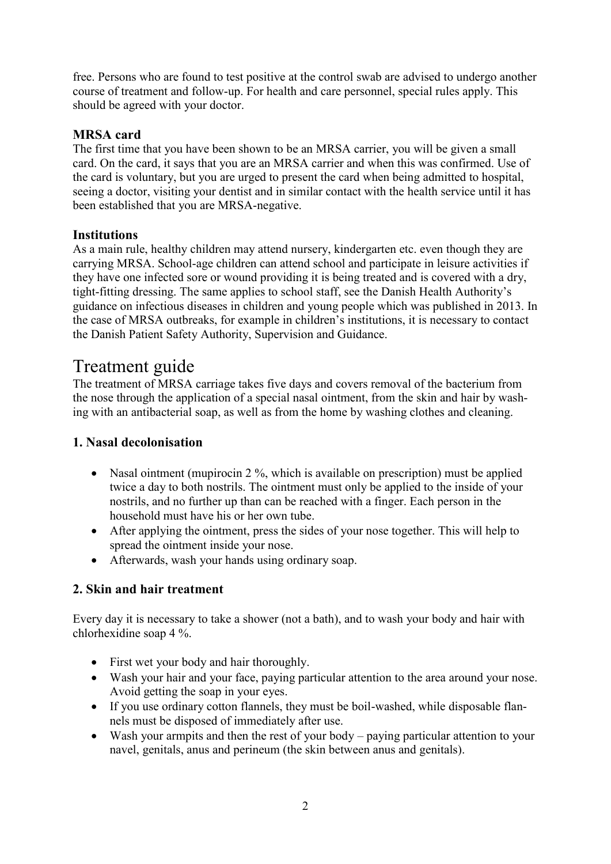free. Persons who are found to test positive at the control swab are advised to undergo another course of treatment and follow-up. For health and care personnel, special rules apply. This should be agreed with your doctor.

### **MRSA card**

The first time that you have been shown to be an MRSA carrier, you will be given a small card. On the card, it says that you are an MRSA carrier and when this was confirmed. Use of the card is voluntary, but you are urged to present the card when being admitted to hospital, seeing a doctor, visiting your dentist and in similar contact with the health service until it has been established that you are MRSA-negative.

### **Institutions**

As a main rule, healthy children may attend nursery, kindergarten etc. even though they are carrying MRSA. School-age children can attend school and participate in leisure activities if they have one infected sore or wound providing it is being treated and is covered with a dry, tight-fitting dressing. The same applies to school staff, see the Danish Health Authority's guidance on infectious diseases in children and young people which was published in 2013. In the case of MRSA outbreaks, for example in children's institutions, it is necessary to contact the Danish Patient Safety Authority, Supervision and Guidance.

# Treatment guide

The treatment of MRSA carriage takes five days and covers removal of the bacterium from the nose through the application of a special nasal ointment, from the skin and hair by washing with an antibacterial soap, as well as from the home by washing clothes and cleaning.

## **1. Nasal decolonisation**

- Nasal ointment (mupirocin 2 %, which is available on prescription) must be applied twice a day to both nostrils. The ointment must only be applied to the inside of your nostrils, and no further up than can be reached with a finger. Each person in the household must have his or her own tube.
- After applying the ointment, press the sides of your nose together. This will help to spread the ointment inside your nose.
- Afterwards, wash your hands using ordinary soap.

## **2. Skin and hair treatment**

Every day it is necessary to take a shower (not a bath), and to wash your body and hair with chlorhexidine soap 4 %.

- First wet your body and hair thoroughly.
- Wash your hair and your face, paying particular attention to the area around your nose. Avoid getting the soap in your eyes.
- If you use ordinary cotton flannels, they must be boil-washed, while disposable flannels must be disposed of immediately after use.
- Wash your armpits and then the rest of your body paying particular attention to your navel, genitals, anus and perineum (the skin between anus and genitals).